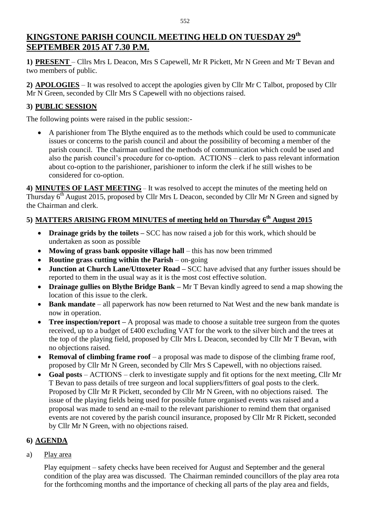# **KINGSTONE PARISH COUNCIL MEETING HELD ON TUESDAY 29th SEPTEMBER 2015 AT 7.30 P.M.**

**1) PRESENT** – Cllrs Mrs L Deacon, Mrs S Capewell, Mr R Pickett, Mr N Green and Mr T Bevan and two members of public.

**2) APOLOGIES** – It was resolved to accept the apologies given by Cllr Mr C Talbot, proposed by Cllr Mr N Green, seconded by Cllr Mrs S Capewell with no objections raised.

## **3) PUBLIC SESSION**

The following points were raised in the public session:-

 A parishioner from The Blythe enquired as to the methods which could be used to communicate issues or concerns to the parish council and about the possibility of becoming a member of the parish council. The chairman outlined the methods of communication which could be used and also the parish council's procedure for co-option. ACTIONS – clerk to pass relevant information about co-option to the parishioner, parishioner to inform the clerk if he still wishes to be considered for co-option.

**4) MINUTES OF LAST MEETING** – It was resolved to accept the minutes of the meeting held on Thursday 6<sup>th</sup> August 2015, proposed by Cllr Mrs L Deacon, seconded by Cllr Mr N Green and signed by the Chairman and clerk.

## **5) MATTERS ARISING FROM MINUTES of meeting held on Thursday 6 th August 2015**

- **Drainage grids by the toilets** SCC has now raised a job for this work, which should be undertaken as soon as possible
- **Mowing of grass bank opposite village hall** this has now been trimmed
- **Routine grass cutting within the Parish** on-going
- **Junction at Church Lane/Uttoxeter Road –** SCC have advised that any further issues should be reported to them in the usual way as it is the most cost effective solution.
- **Drainage gullies on Blythe Bridge Bank –** Mr T Bevan kindly agreed to send a map showing the location of this issue to the clerk.
- **Bank mandate** all paperwork has now been returned to Nat West and the new bank mandate is now in operation.
- **Tree inspection/report** A proposal was made to choose a suitable tree surgeon from the quotes received, up to a budget of £400 excluding VAT for the work to the silver birch and the trees at the top of the playing field, proposed by Cllr Mrs L Deacon, seconded by Cllr Mr T Bevan, with no objections raised.
- **Removal of climbing frame roof** a proposal was made to dispose of the climbing frame roof, proposed by Cllr Mr N Green, seconded by Cllr Mrs S Capewell, with no objections raised.
- **Goal posts** ACTIONS clerk to investigate supply and fit options for the next meeting, Cllr Mr T Bevan to pass details of tree surgeon and local suppliers/fitters of goal posts to the clerk. Proposed by Cllr Mr R Pickett, seconded by Cllr Mr N Green, with no objections raised. The issue of the playing fields being used for possible future organised events was raised and a proposal was made to send an e-mail to the relevant parishioner to remind them that organised events are not covered by the parish council insurance, proposed by Cllr Mr R Pickett, seconded by Cllr Mr N Green, with no objections raised.

### **6) AGENDA**

#### a) Play area

Play equipment – safety checks have been received for August and September and the general condition of the play area was discussed. The Chairman reminded councillors of the play area rota for the forthcoming months and the importance of checking all parts of the play area and fields,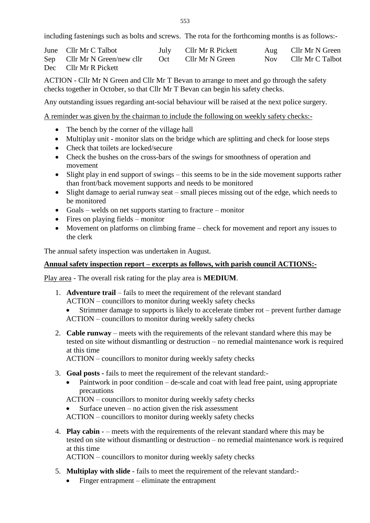including fastenings such as bolts and screws. The rota for the forthcoming months is as follows:-

| June Cllr Mr C Talbot        |     | July Cllr Mr R Pickett |       | Aug Cllr Mr N Green |
|------------------------------|-----|------------------------|-------|---------------------|
| Sep Cllr Mr N Green/new cllr | Oct | Cllr Mr N Green        | Nov — | Cllr Mr C Talbot    |
| Dec Cllr Mr R Pickett        |     |                        |       |                     |

ACTION - Cllr Mr N Green and Cllr Mr T Bevan to arrange to meet and go through the safety checks together in October, so that Cllr Mr T Bevan can begin his safety checks.

Any outstanding issues regarding ant-social behaviour will be raised at the next police surgery.

A reminder was given by the chairman to include the following on weekly safety checks:-

- The bench by the corner of the village hall
- Multiplay unit **-** monitor slats on the bridge which are splitting and check for loose steps
- Check that toilets are locked/secure
- Check the bushes on the cross-bars of the swings for smoothness of operation and movement
- Slight play in end support of swings this seems to be in the side movement supports rather than front/back movement supports and needs to be monitored
- Slight damage to aerial runway seat small pieces missing out of the edge, which needs to be monitored
- Goals welds on net supports starting to fracture monitor
- $\bullet$  Fires on playing fields monitor
- Movement on platforms on climbing frame check for movement and report any issues to the clerk

The annual safety inspection was undertaken in August.

#### **Annual safety inspection report – excerpts as follows, with parish council ACTIONS:-**

Play area - The overall risk rating for the play area is **MEDIUM**.

- 1. **Adventure trail** fails to meet the requirement of the relevant standard ACTION – councillors to monitor during weekly safety checks
	- Strimmer damage to supports is likely to accelerate timber rot prevent further damage ACTION – councillors to monitor during weekly safety checks
- 2. **Cable runway** meets with the requirements of the relevant standard where this may be tested on site without dismantling or destruction – no remedial maintenance work is required at this time

ACTION – councillors to monitor during weekly safety checks

- 3. **Goal posts -** fails to meet the requirement of the relevant standard:-
	- Paintwork in poor condition de-scale and coat with lead free paint, using appropriate precautions
	- ACTION councillors to monitor during weekly safety checks
	- Surface uneven  $-$  no action given the risk assessment

ACTION – councillors to monitor during weekly safety checks

4. **Play cabin** - – meets with the requirements of the relevant standard where this may be tested on site without dismantling or destruction – no remedial maintenance work is required at this time

ACTION – councillors to monitor during weekly safety checks

- 5. **Multiplay with slide** fails to meet the requirement of the relevant standard:-
	- Finger entrapment eliminate the entrapment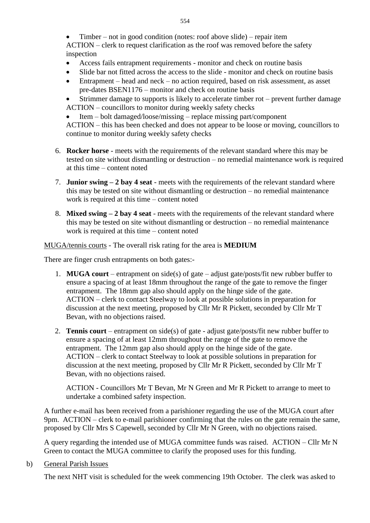Timber – not in good condition (notes: roof above slide) – repair item ACTION – clerk to request clarification as the roof was removed before the safety inspection

- Access fails entrapment requirements monitor and check on routine basis
- Slide bar not fitted across the access to the slide monitor and check on routine basis
- Entrapment head and neck no action required, based on risk assessment, as asset pre-dates BSEN1176 – monitor and check on routine basis
- Strimmer damage to supports is likely to accelerate timber rot prevent further damage
- ACTION councillors to monitor during weekly safety checks
- Item bolt damaged/loose/missing replace missing part/component ACTION – this has been checked and does not appear to be loose or moving, councillors to continue to monitor during weekly safety checks
- 6. **Rocker horse** meets with the requirements of the relevant standard where this may be tested on site without dismantling or destruction – no remedial maintenance work is required at this time – content noted
- 7. **Junior swing – 2 bay 4 seat** meets with the requirements of the relevant standard where this may be tested on site without dismantling or destruction – no remedial maintenance work is required at this time – content noted
- 8. **Mixed swing – 2 bay 4 seat** meets with the requirements of the relevant standard where this may be tested on site without dismantling or destruction – no remedial maintenance work is required at this time – content noted

#### MUGA/tennis courts - The overall risk rating for the area is **MEDIUM**

There are finger crush entrapments on both gates:-

- 1. **MUGA court** entrapment on side(s) of gate adjust gate/posts/fit new rubber buffer to ensure a spacing of at least 18mm throughout the range of the gate to remove the finger entrapment. The 18mm gap also should apply on the hinge side of the gate. ACTION – clerk to contact Steelway to look at possible solutions in preparation for discussion at the next meeting, proposed by Cllr Mr R Pickett, seconded by Cllr Mr T Bevan, with no objections raised.
- 2. **Tennis court** entrapment on side(s) of gate adjust gate/posts/fit new rubber buffer to ensure a spacing of at least 12mm throughout the range of the gate to remove the entrapment. The 12mm gap also should apply on the hinge side of the gate. ACTION – clerk to contact Steelway to look at possible solutions in preparation for discussion at the next meeting, proposed by Cllr Mr R Pickett, seconded by Cllr Mr T Bevan, with no objections raised.

ACTION - Councillors Mr T Bevan, Mr N Green and Mr R Pickett to arrange to meet to undertake a combined safety inspection.

A further e-mail has been received from a parishioner regarding the use of the MUGA court after 9pm. ACTION – clerk to e-mail parishioner confirming that the rules on the gate remain the same, proposed by Cllr Mrs S Capewell, seconded by Cllr Mr N Green, with no objections raised.

A query regarding the intended use of MUGA committee funds was raised. ACTION – Cllr Mr N Green to contact the MUGA committee to clarify the proposed uses for this funding.

b) General Parish Issues

The next NHT visit is scheduled for the week commencing 19th October. The clerk was asked to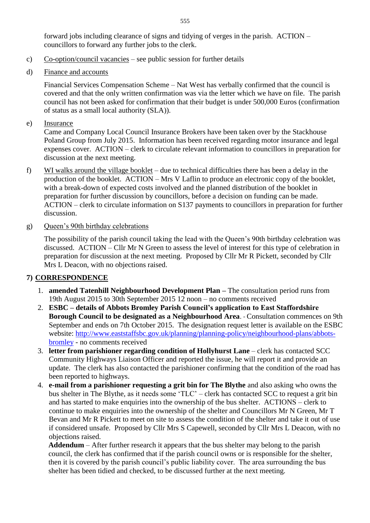forward jobs including clearance of signs and tidying of verges in the parish. ACTION – councillors to forward any further jobs to the clerk.

- c) Co-option/council vacancies see public session for further details
- d) Finance and accounts

Financial Services Compensation Scheme – Nat West has verbally confirmed that the council is covered and that the only written confirmation was via the letter which we have on file. The parish council has not been asked for confirmation that their budget is under 500,000 Euros (confirmation of status as a small local authority (SLA)).

e) Insurance

Came and Company Local Council Insurance Brokers have been taken over by the Stackhouse Poland Group from July 2015. Information has been received regarding motor insurance and legal expenses cover. ACTION – clerk to circulate relevant information to councillors in preparation for discussion at the next meeting.

- f) WI walks around the village booklet due to technical difficulties there has been a delay in the production of the booklet. ACTION – Mrs V Laflin to produce an electronic copy of the booklet, with a break-down of expected costs involved and the planned distribution of the booklet in preparation for further discussion by councillors, before a decision on funding can be made. ACTION – clerk to circulate information on S137 payments to councillors in preparation for further discussion.
- g) Queen's 90th birthday celebrations

The possibility of the parish council taking the lead with the Queen's 90th birthday celebration was discussed. ACTION – Cllr Mr N Green to assess the level of interest for this type of celebration in preparation for discussion at the next meeting. Proposed by Cllr Mr R Pickett, seconded by Cllr Mrs L Deacon, with no objections raised.

### **7) CORRESPONDENCE**

- 1. **amended Tatenhill Neighbourhood Development Plan –** The consultation period runs from 19th August 2015 to 30th September 2015 12 noon – no comments received
- 2. **ESBC – details of Abbots Bromley Parish Council's application to East Staffordshire Borough Council to be designated as a Neighbourhood Area**. - Consultation commences on 9th September and ends on 7th October 2015. The designation request letter is available on the ESBC website: [http://www.eaststaffsbc.gov.uk/planning/planning-policy/neighbourhood-plans/abbots](http://www.eaststaffsbc.gov.uk/planning/planning-policy/neighbourhood-plans/abbots-bromley)[bromley](http://www.eaststaffsbc.gov.uk/planning/planning-policy/neighbourhood-plans/abbots-bromley) - no comments received
- 3. **letter from parishioner regarding condition of Hollyhurst Lane**  clerk has contacted SCC Community Highways Liaison Officer and reported the issue, he will report it and provide an update. The clerk has also contacted the parishioner confirming that the condition of the road has been reported to highways.
- 4. **e-mail from a parishioner requesting a grit bin for The Blythe** and also asking who owns the bus shelter in The Blythe, as it needs some 'TLC' – clerk has contacted SCC to request a grit bin and has started to make enquiries into the ownership of the bus shelter. ACTIONS – clerk to continue to make enquiries into the ownership of the shelter and Councillors Mr N Green, Mr T Bevan and Mr R Pickett to meet on site to assess the condition of the shelter and take it out of use if considered unsafe. Proposed by Cllr Mrs S Capewell, seconded by Cllr Mrs L Deacon, with no objections raised.

**Addendum** – After further research it appears that the bus shelter may belong to the parish council, the clerk has confirmed that if the parish council owns or is responsible for the shelter, then it is covered by the parish council's public liability cover. The area surrounding the bus shelter has been tidied and checked, to be discussed further at the next meeting.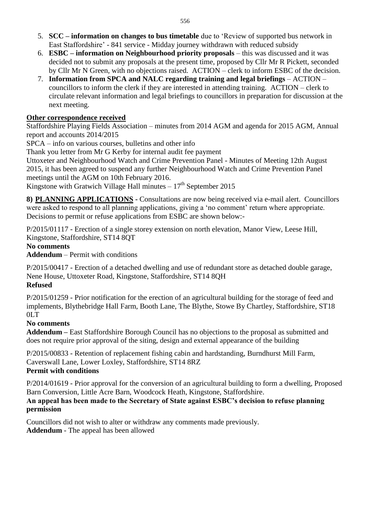- 5. **SCC – information on changes to bus timetable** due to 'Review of supported bus network in East Staffordshire' - 841 service - Midday journey withdrawn with reduced subsidy
- 6. **ESBC – information on Neighbourhood priority proposals**  this was discussed and it was decided not to submit any proposals at the present time, proposed by Cllr Mr R Pickett, seconded by Cllr Mr N Green, with no objections raised. ACTION – clerk to inform ESBC of the decision.
- 7. **Information from SPCA and NALC regarding training and legal briefings** ACTION councillors to inform the clerk if they are interested in attending training. ACTION – clerk to circulate relevant information and legal briefings to councillors in preparation for discussion at the next meeting.

#### **Other correspondence received**

Staffordshire Playing Fields Association – minutes from 2014 AGM and agenda for 2015 AGM, Annual report and accounts 2014/2015

SPCA – info on various courses, bulletins and other info

Thank you letter from Mr G Kerby for internal audit fee payment

Uttoxeter and Neighbourhood Watch and Crime Prevention Panel - Minutes of Meeting 12th August 2015, it has been agreed to suspend any further Neighbourhood Watch and Crime Prevention Panel meetings until the AGM on 10th February 2016.

Kingstone with Gratwich Village Hall minutes  $-17<sup>th</sup>$  September 2015

**8) PLANNING APPLICATIONS -** Consultations are now being received via e-mail alert. Councillors were asked to respond to all planning applications, giving a 'no comment' return where appropriate. Decisions to permit or refuse applications from ESBC are shown below:-

P/2015/01117 - Erection of a single storey extension on north elevation, Manor View, Leese Hill, Kingstone, Staffordshire, ST14 8QT

### **No comments**

**Addendum** – Permit with conditions

P/2015/00417 - Erection of a detached dwelling and use of redundant store as detached double garage, Nene House, Uttoxeter Road, Kingstone, Staffordshire, ST14 8QH **Refused**

P/2015/01259 - Prior notification for the erection of an agricultural building for the storage of feed and implements, Blythebridge Hall Farm, Booth Lane, The Blythe, Stowe By Chartley, Staffordshire, ST18 0LT

### **No comments**

**Addendum –** East Staffordshire Borough Council has no objections to the proposal as submitted and does not require prior approval of the siting, design and external appearance of the building

P/2015/00833 - Retention of replacement fishing cabin and hardstanding, Burndhurst Mill Farm, Caverswall Lane, Lower Loxley, Staffordshire, ST14 8RZ **Permit with conditions**

P/2014/01619 - Prior approval for the conversion of an agricultural building to form a dwelling, Proposed Barn Conversion, Little Acre Barn, Woodcock Heath, Kingstone, Staffordshire.

### **An appeal has been made to the Secretary of State against ESBC's decision to refuse planning permission**

Councillors did not wish to alter or withdraw any comments made previously. **Addendum** - The appeal has been allowed